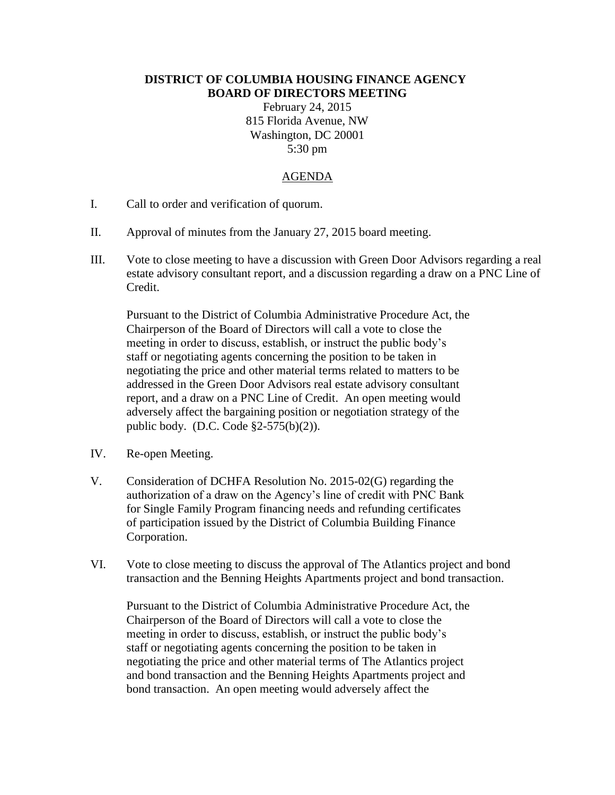## **DISTRICT OF COLUMBIA HOUSING FINANCE AGENCY BOARD OF DIRECTORS MEETING**

February 24, 2015 815 Florida Avenue, NW Washington, DC 20001 5:30 pm

## AGENDA

- I. Call to order and verification of quorum.
- II. Approval of minutes from the January 27, 2015 board meeting.
- III. Vote to close meeting to have a discussion with Green Door Advisors regarding a real estate advisory consultant report, and a discussion regarding a draw on a PNC Line of Credit.

Pursuant to the District of Columbia Administrative Procedure Act, the Chairperson of the Board of Directors will call a vote to close the meeting in order to discuss, establish, or instruct the public body's staff or negotiating agents concerning the position to be taken in negotiating the price and other material terms related to matters to be addressed in the Green Door Advisors real estate advisory consultant report, and a draw on a PNC Line of Credit. An open meeting would adversely affect the bargaining position or negotiation strategy of the public body. (D.C. Code §2-575(b)(2)).

- IV. Re-open Meeting.
- V. Consideration of DCHFA Resolution No. 2015-02(G) regarding the authorization of a draw on the Agency's line of credit with PNC Bank for Single Family Program financing needs and refunding certificates of participation issued by the District of Columbia Building Finance Corporation.
- VI. Vote to close meeting to discuss the approval of The Atlantics project and bond transaction and the Benning Heights Apartments project and bond transaction.

Pursuant to the District of Columbia Administrative Procedure Act, the Chairperson of the Board of Directors will call a vote to close the meeting in order to discuss, establish, or instruct the public body's staff or negotiating agents concerning the position to be taken in negotiating the price and other material terms of The Atlantics project and bond transaction and the Benning Heights Apartments project and bond transaction. An open meeting would adversely affect the